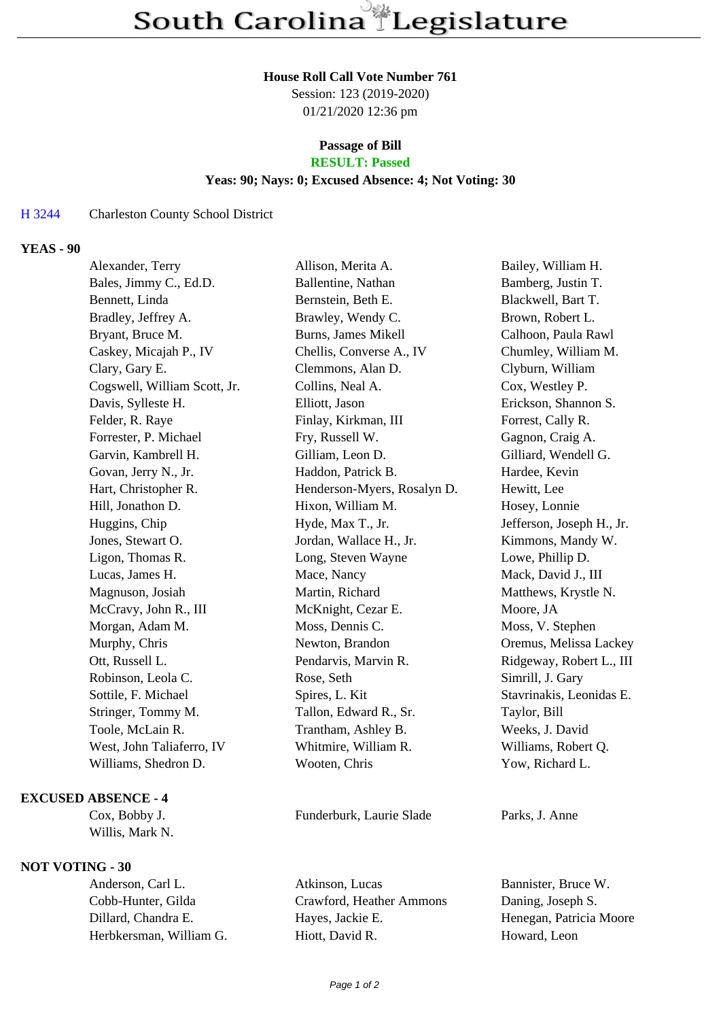#### **House Roll Call Vote Number 761**

Session: 123 (2019-2020) 01/21/2020 12:36 pm

#### **Passage of Bill RESULT: Passed**

# **Yeas: 90; Nays: 0; Excused Absence: 4; Not Voting: 30**

## H 3244 Charleston County School District

## **YEAS - 90**

| Alexander, Terry             | Allison, Merita A.          | Bailey, William H.        |
|------------------------------|-----------------------------|---------------------------|
| Bales, Jimmy C., Ed.D.       | Ballentine, Nathan          | Bamberg, Justin T.        |
| Bennett, Linda               | Bernstein, Beth E.          | Blackwell, Bart T.        |
| Bradley, Jeffrey A.          | Brawley, Wendy C.           | Brown, Robert L.          |
| Bryant, Bruce M.             | <b>Burns, James Mikell</b>  | Calhoon, Paula Rawl       |
| Caskey, Micajah P., IV       | Chellis, Converse A., IV    | Chumley, William M.       |
| Clary, Gary E.               | Clemmons, Alan D.           | Clyburn, William          |
| Cogswell, William Scott, Jr. | Collins, Neal A.            | Cox, Westley P.           |
| Davis, Sylleste H.           | Elliott, Jason              | Erickson, Shannon S.      |
| Felder, R. Raye              | Finlay, Kirkman, III        | Forrest, Cally R.         |
| Forrester, P. Michael        | Fry, Russell W.             | Gagnon, Craig A.          |
| Garvin, Kambrell H.          | Gilliam, Leon D.            | Gilliard, Wendell G.      |
| Govan, Jerry N., Jr.         | Haddon, Patrick B.          | Hardee, Kevin             |
| Hart, Christopher R.         | Henderson-Myers, Rosalyn D. | Hewitt, Lee               |
| Hill, Jonathon D.            | Hixon, William M.           | Hosey, Lonnie             |
| Huggins, Chip                | Hyde, Max T., Jr.           | Jefferson, Joseph H., Jr. |
| Jones, Stewart O.            | Jordan, Wallace H., Jr.     | Kimmons, Mandy W.         |
| Ligon, Thomas R.             | Long, Steven Wayne          | Lowe, Phillip D.          |
| Lucas, James H.              | Mace, Nancy                 | Mack, David J., III       |
| Magnuson, Josiah             | Martin, Richard             | Matthews, Krystle N.      |
| McCravy, John R., III        | McKnight, Cezar E.          | Moore, JA                 |
| Morgan, Adam M.              | Moss, Dennis C.             | Moss, V. Stephen          |
| Murphy, Chris                | Newton, Brandon             | Oremus, Melissa Lackey    |
| Ott, Russell L.              | Pendarvis, Marvin R.        | Ridgeway, Robert L., III  |
| Robinson, Leola C.           | Rose, Seth                  | Simrill, J. Gary          |
| Sottile, F. Michael          | Spires, L. Kit              | Stavrinakis, Leonidas E.  |
| Stringer, Tommy M.           | Tallon, Edward R., Sr.      | Taylor, Bill              |
| Toole, McLain R.             | Trantham, Ashley B.         | Weeks, J. David           |
| West, John Taliaferro, IV    | Whitmire, William R.        | Williams, Robert Q.       |
| Williams, Shedron D.         | Wooten, Chris               | Yow, Richard L.           |
|                              |                             |                           |

### **EXCUSED ABSENCE - 4**

Willis, Mark N.

## **NOT VOTING - 30**

Cox, Bobby J. Funderburk, Laurie Slade Parks, J. Anne

Anderson, Carl L. Atkinson, Lucas Bannister, Bruce W. Cobb-Hunter, Gilda Crawford, Heather Ammons Daning, Joseph S. Dillard, Chandra E. Hayes, Jackie E. Henegan, Patricia Moore Herbkersman, William G. Hiott, David R. Howard, Leon